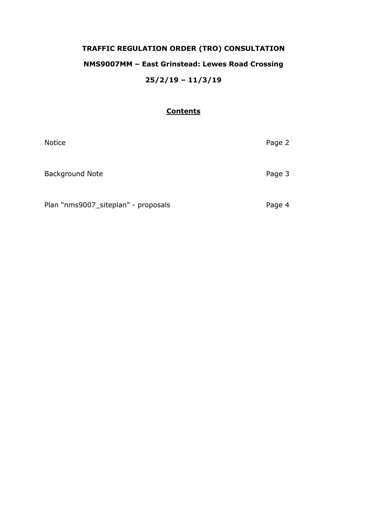# **TRAFFIC REGULATION ORDER (TRO) CONSULTATION NMS9007MM – East Grinstead: Lewes Road Crossing 25/2/19 – 11/3/19**

#### **Contents**

| <b>Notice</b>                       | Page 2 |
|-------------------------------------|--------|
| <b>Background Note</b>              | Page 3 |
| Plan "nms9007_siteplan" - proposals | Page 4 |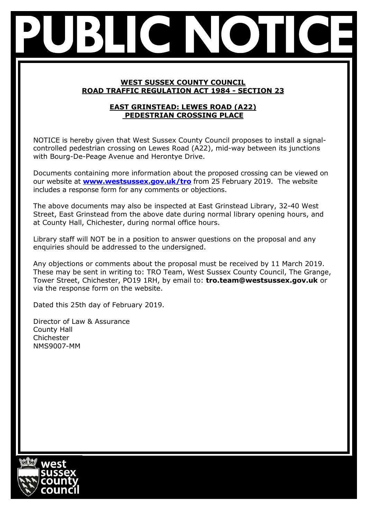## **WEST SUSSEX COUNTY COUNCIL ROAD TRAFFIC REGULATION ACT 1984 - SECTION 23**

# **EAST GRINSTEAD: LEWES ROAD (A22) PEDESTRIAN CROSSING PLACE**

NOTICE is hereby given that West Sussex County Council proposes to install a signalcontrolled pedestrian crossing on Lewes Road (A22), mid-way between its junctions with Bourg-De-Peage Avenue and Herontye Drive.

Documents containing more information about the proposed crossing can be viewed on our website at **[www.westsussex.gov.uk/tro](http://www.westsussex.gov.uk/tro)** from 25 February 2019. The website includes a response form for any comments or objections.

The above documents may also be inspected at East Grinstead Library, 32-40 West Street, East Grinstead from the above date during normal library opening hours, and at County Hall, Chichester, during normal office hours.

Library staff will NOT be in a position to answer questions on the proposal and any enquiries should be addressed to the undersigned.

Any objections or comments about the proposal must be received by 11 March 2019. These may be sent in writing to: TRO Team, West Sussex County Council, The Grange, Tower Street, Chichester, PO19 1RH, by email to: **tro.team@westsussex.gov.uk** or via the response form on the website.

Dated this 25th day of February 2019.

Director of Law & Assurance County Hall Chichester NMS9007-MM

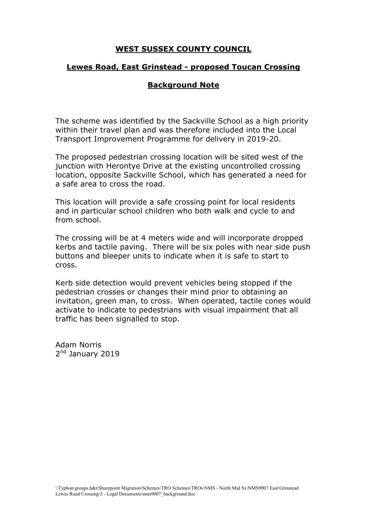# **WEST SUSSEX COUNTY COUNCIL**

#### **Lewes Road, East Grinstead - proposed Toucan Crossing**

## **Background Note**

The scheme was identified by the Sackville School as a high priority within their travel plan and was therefore included into the Local Transport Improvement Programme for delivery in 2019-20.

The proposed pedestrian crossing location will be sited west of the junction with Herontye Drive at the existing uncontrolled crossing location, opposite Sackville School, which has generated a need for a safe area to cross the road.

This location will provide a safe crossing point for local residents and in particular school children who both walk and cycle to and from school.

The crossing will be at 4 meters wide and will incorporate dropped kerbs and tactile paving. There will be six poles with near side push buttons and bleeper units to indicate when it is safe to start to cross.

Kerb side detection would prevent vehicles being stopped if the pedestrian crosses or changes their mind prior to obtaining an invitation, green man, to cross. When operated, tactile cones would activate to indicate to pedestrians with visual impairment that all traffic has been signalled to stop.

Adam Norris 2<sup>nd</sup> January 2019